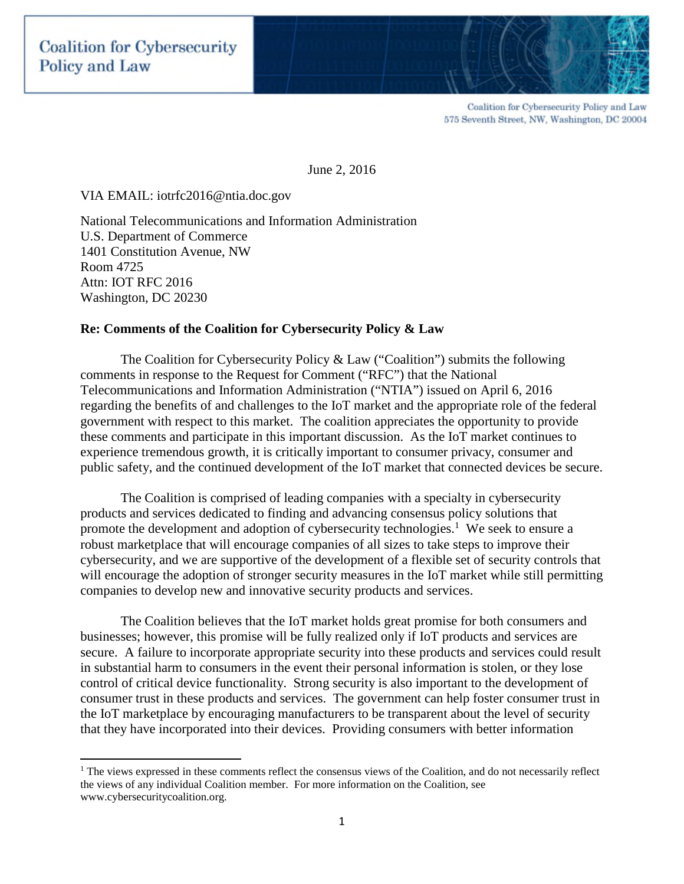

June 2, 2016

### VIA EMAIL: iotrfc2016@ntia.doc.gov

National Telecommunications and Information Administration U.S. Department of Commerce 1401 Constitution Avenue, NW Room 4725 Attn: IOT RFC 2016 Washington, DC 20230

#### **Re: Comments of the Coalition for Cybersecurity Policy & Law**

The Coalition for Cybersecurity Policy & Law ("Coalition") submits the following comments in response to the Request for Comment ("RFC") that the National Telecommunications and Information Administration ("NTIA") issued on April 6, 2016 regarding the benefits of and challenges to the IoT market and the appropriate role of the federal government with respect to this market. The coalition appreciates the opportunity to provide these comments and participate in this important discussion. As the IoT market continues to experience tremendous growth, it is critically important to consumer privacy, consumer and public safety, and the continued development of the IoT market that connected devices be secure.

The Coalition is comprised of leading companies with a specialty in cybersecurity products and services dedicated to finding and advancing consensus policy solutions that promote the development and adoption of cybersecurity technologies.<sup>1</sup> We seek to ensure a robust marketplace that will encourage companies of all sizes to take steps to improve their cybersecurity, and we are supportive of the development of a flexible set of security controls that will encourage the adoption of stronger security measures in the IoT market while still permitting companies to develop new and innovative security products and services.

The Coalition believes that the IoT market holds great promise for both consumers and businesses; however, this promise will be fully realized only if IoT products and services are secure. A failure to incorporate appropriate security into these products and services could result in substantial harm to consumers in the event their personal information is stolen, or they lose control of critical device functionality. Strong security is also important to the development of consumer trust in these products and services. The government can help foster consumer trust in the IoT marketplace by encouraging manufacturers to be transparent about the level of security that they have incorporated into their devices. Providing consumers with better information

<sup>&</sup>lt;sup>1</sup> The views expressed in these comments reflect the consensus views of the Coalition, and do not necessarily reflect the views of any individual Coalition member. For more information on the Coalition, see www.cybersecuritycoalition.org.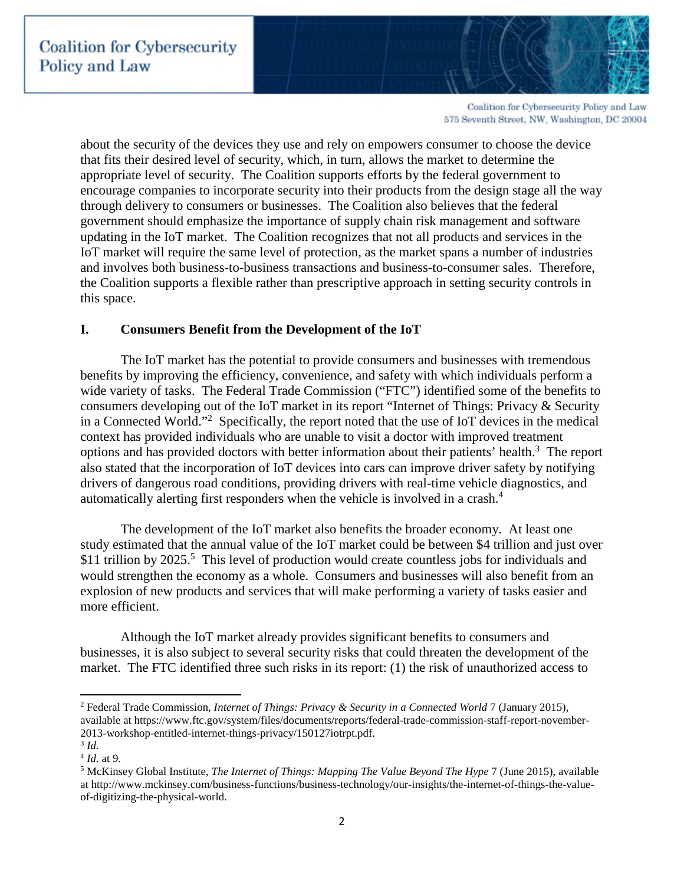

about the security of the devices they use and rely on empowers consumer to choose the device that fits their desired level of security, which, in turn, allows the market to determine the appropriate level of security. The Coalition supports efforts by the federal government to encourage companies to incorporate security into their products from the design stage all the way through delivery to consumers or businesses. The Coalition also believes that the federal government should emphasize the importance of supply chain risk management and software updating in the IoT market. The Coalition recognizes that not all products and services in the IoT market will require the same level of protection, as the market spans a number of industries and involves both business-to-business transactions and business-to-consumer sales. Therefore, the Coalition supports a flexible rather than prescriptive approach in setting security controls in this space.

## **I. Consumers Benefit from the Development of the IoT**

The IoT market has the potential to provide consumers and businesses with tremendous benefits by improving the efficiency, convenience, and safety with which individuals perform a wide variety of tasks. The Federal Trade Commission ("FTC") identified some of the benefits to consumers developing out of the IoT market in its report "Internet of Things: Privacy & Security in a Connected World."<sup>2</sup> Specifically, the report noted that the use of IoT devices in the medical context has provided individuals who are unable to visit a doctor with improved treatment options and has provided doctors with better information about their patients' health.<sup>3</sup> The report also stated that the incorporation of IoT devices into cars can improve driver safety by notifying drivers of dangerous road conditions, providing drivers with real-time vehicle diagnostics, and automatically alerting first responders when the vehicle is involved in a crash.<sup>4</sup>

The development of the IoT market also benefits the broader economy. At least one study estimated that the annual value of the IoT market could be between \$4 trillion and just over \$11 trillion by 2025.<sup>5</sup> This level of production would create countless jobs for individuals and would strengthen the economy as a whole. Consumers and businesses will also benefit from an explosion of new products and services that will make performing a variety of tasks easier and more efficient.

Although the IoT market already provides significant benefits to consumers and businesses, it is also subject to several security risks that could threaten the development of the market. The FTC identified three such risks in its report: (1) the risk of unauthorized access to

<sup>2</sup> Federal Trade Commission, *Internet of Things: Privacy & Security in a Connected World* 7 (January 2015), available at https://www.ftc.gov/system/files/documents/reports/federal-trade-commission-staff-report-november-2013-workshop-entitled-internet-things-privacy/150127iotrpt.pdf.

<sup>3</sup> *Id.*

<sup>4</sup> *Id.* at 9.

<sup>5</sup> McKinsey Global Institute, *The Internet of Things: Mapping The Value Beyond The Hype* 7 (June 2015), available at http://www.mckinsey.com/business-functions/business-technology/our-insights/the-internet-of-things-the-valueof-digitizing-the-physical-world.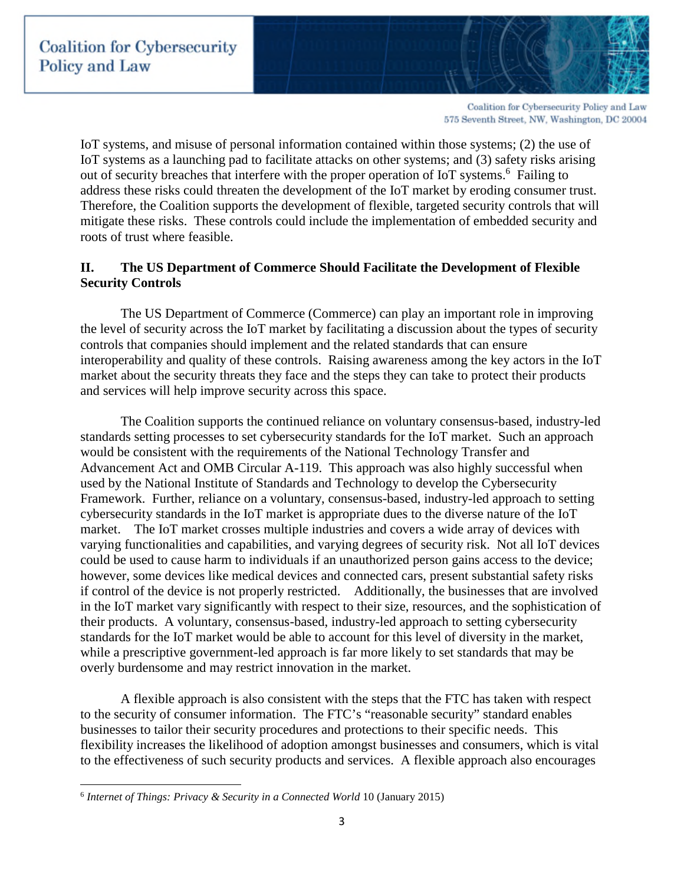

IoT systems, and misuse of personal information contained within those systems; (2) the use of IoT systems as a launching pad to facilitate attacks on other systems; and (3) safety risks arising out of security breaches that interfere with the proper operation of IoT systems.<sup>6</sup> Failing to address these risks could threaten the development of the IoT market by eroding consumer trust. Therefore, the Coalition supports the development of flexible, targeted security controls that will mitigate these risks. These controls could include the implementation of embedded security and roots of trust where feasible.

# **II. The US Department of Commerce Should Facilitate the Development of Flexible Security Controls**

The US Department of Commerce (Commerce) can play an important role in improving the level of security across the IoT market by facilitating a discussion about the types of security controls that companies should implement and the related standards that can ensure interoperability and quality of these controls. Raising awareness among the key actors in the IoT market about the security threats they face and the steps they can take to protect their products and services will help improve security across this space.

The Coalition supports the continued reliance on voluntary consensus-based, industry-led standards setting processes to set cybersecurity standards for the IoT market. Such an approach would be consistent with the requirements of the National Technology Transfer and Advancement Act and OMB Circular A-119. This approach was also highly successful when used by the National Institute of Standards and Technology to develop the Cybersecurity Framework. Further, reliance on a voluntary, consensus-based, industry-led approach to setting cybersecurity standards in the IoT market is appropriate dues to the diverse nature of the IoT market. The IoT market crosses multiple industries and covers a wide array of devices with varying functionalities and capabilities, and varying degrees of security risk. Not all IoT devices could be used to cause harm to individuals if an unauthorized person gains access to the device; however, some devices like medical devices and connected cars, present substantial safety risks if control of the device is not properly restricted. Additionally, the businesses that are involved in the IoT market vary significantly with respect to their size, resources, and the sophistication of their products. A voluntary, consensus-based, industry-led approach to setting cybersecurity standards for the IoT market would be able to account for this level of diversity in the market, while a prescriptive government-led approach is far more likely to set standards that may be overly burdensome and may restrict innovation in the market.

A flexible approach is also consistent with the steps that the FTC has taken with respect to the security of consumer information. The FTC's "reasonable security" standard enables businesses to tailor their security procedures and protections to their specific needs. This flexibility increases the likelihood of adoption amongst businesses and consumers, which is vital to the effectiveness of such security products and services. A flexible approach also encourages

<sup>6</sup> *Internet of Things: Privacy & Security in a Connected World* 10 (January 2015)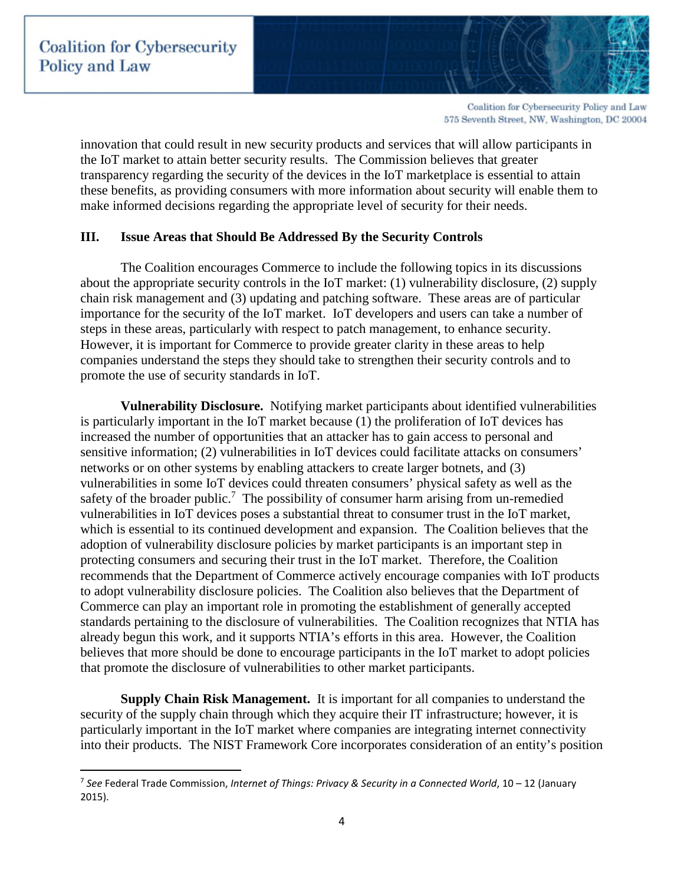

innovation that could result in new security products and services that will allow participants in the IoT market to attain better security results. The Commission believes that greater transparency regarding the security of the devices in the IoT marketplace is essential to attain these benefits, as providing consumers with more information about security will enable them to make informed decisions regarding the appropriate level of security for their needs.

## **III. Issue Areas that Should Be Addressed By the Security Controls**

The Coalition encourages Commerce to include the following topics in its discussions about the appropriate security controls in the IoT market: (1) vulnerability disclosure, (2) supply chain risk management and (3) updating and patching software. These areas are of particular importance for the security of the IoT market. IoT developers and users can take a number of steps in these areas, particularly with respect to patch management, to enhance security. However, it is important for Commerce to provide greater clarity in these areas to help companies understand the steps they should take to strengthen their security controls and to promote the use of security standards in IoT.

**Vulnerability Disclosure.** Notifying market participants about identified vulnerabilities is particularly important in the IoT market because (1) the proliferation of IoT devices has increased the number of opportunities that an attacker has to gain access to personal and sensitive information; (2) vulnerabilities in IoT devices could facilitate attacks on consumers' networks or on other systems by enabling attackers to create larger botnets, and (3) vulnerabilities in some IoT devices could threaten consumers' physical safety as well as the safety of the broader public.<sup>7</sup> The possibility of consumer harm arising from un-remedied vulnerabilities in IoT devices poses a substantial threat to consumer trust in the IoT market, which is essential to its continued development and expansion. The Coalition believes that the adoption of vulnerability disclosure policies by market participants is an important step in protecting consumers and securing their trust in the IoT market. Therefore, the Coalition recommends that the Department of Commerce actively encourage companies with IoT products to adopt vulnerability disclosure policies. The Coalition also believes that the Department of Commerce can play an important role in promoting the establishment of generally accepted standards pertaining to the disclosure of vulnerabilities. The Coalition recognizes that NTIA has already begun this work, and it supports NTIA's efforts in this area. However, the Coalition believes that more should be done to encourage participants in the IoT market to adopt policies that promote the disclosure of vulnerabilities to other market participants.

**Supply Chain Risk Management.** It is important for all companies to understand the security of the supply chain through which they acquire their IT infrastructure; however, it is particularly important in the IoT market where companies are integrating internet connectivity into their products. The NIST Framework Core incorporates consideration of an entity's position

<sup>7</sup> *See* Federal Trade Commission, *Internet of Things: Privacy & Security in a Connected World*, 10 – 12 (January 2015).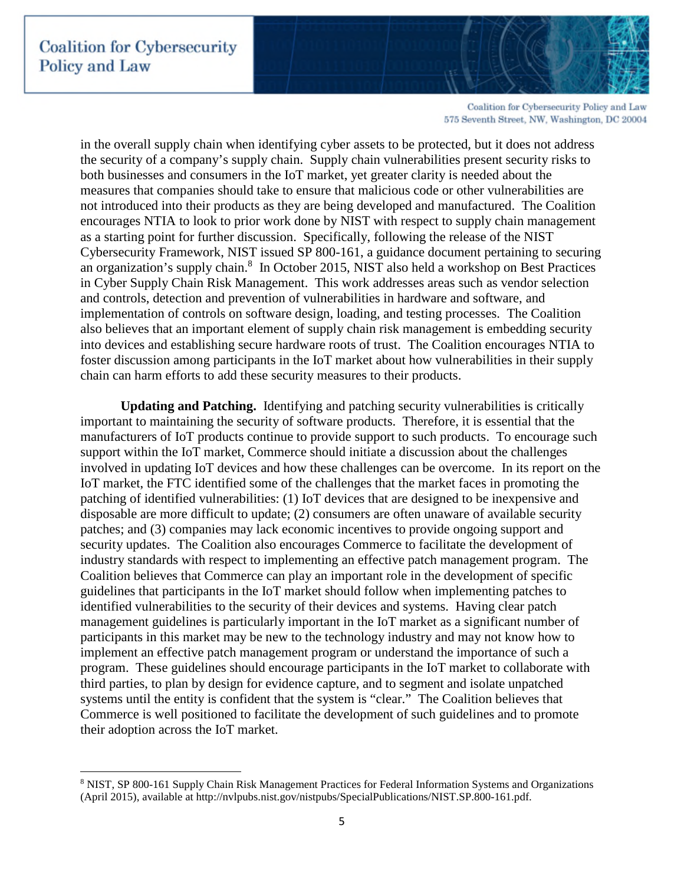in the overall supply chain when identifying cyber assets to be protected, but it does not address the security of a company's supply chain. Supply chain vulnerabilities present security risks to both businesses and consumers in the IoT market, yet greater clarity is needed about the measures that companies should take to ensure that malicious code or other vulnerabilities are not introduced into their products as they are being developed and manufactured. The Coalition encourages NTIA to look to prior work done by NIST with respect to supply chain management as a starting point for further discussion. Specifically, following the release of the NIST Cybersecurity Framework, NIST issued SP 800-161, a guidance document pertaining to securing an organization's supply chain.<sup>8</sup> In October 2015, NIST also held a workshop on Best Practices in Cyber Supply Chain Risk Management. This work addresses areas such as vendor selection and controls, detection and prevention of vulnerabilities in hardware and software, and implementation of controls on software design, loading, and testing processes. The Coalition also believes that an important element of supply chain risk management is embedding security into devices and establishing secure hardware roots of trust. The Coalition encourages NTIA to foster discussion among participants in the IoT market about how vulnerabilities in their supply chain can harm efforts to add these security measures to their products.

**Updating and Patching.** Identifying and patching security vulnerabilities is critically important to maintaining the security of software products. Therefore, it is essential that the manufacturers of IoT products continue to provide support to such products. To encourage such support within the IoT market, Commerce should initiate a discussion about the challenges involved in updating IoT devices and how these challenges can be overcome. In its report on the IoT market, the FTC identified some of the challenges that the market faces in promoting the patching of identified vulnerabilities: (1) IoT devices that are designed to be inexpensive and disposable are more difficult to update; (2) consumers are often unaware of available security patches; and (3) companies may lack economic incentives to provide ongoing support and security updates. The Coalition also encourages Commerce to facilitate the development of industry standards with respect to implementing an effective patch management program. The Coalition believes that Commerce can play an important role in the development of specific guidelines that participants in the IoT market should follow when implementing patches to identified vulnerabilities to the security of their devices and systems. Having clear patch management guidelines is particularly important in the IoT market as a significant number of participants in this market may be new to the technology industry and may not know how to implement an effective patch management program or understand the importance of such a program. These guidelines should encourage participants in the IoT market to collaborate with third parties, to plan by design for evidence capture, and to segment and isolate unpatched systems until the entity is confident that the system is "clear." The Coalition believes that Commerce is well positioned to facilitate the development of such guidelines and to promote their adoption across the IoT market.

<sup>8</sup> NIST, SP 800-161 Supply Chain Risk Management Practices for Federal Information Systems and Organizations (April 2015), available at http://nvlpubs.nist.gov/nistpubs/SpecialPublications/NIST.SP.800-161.pdf.